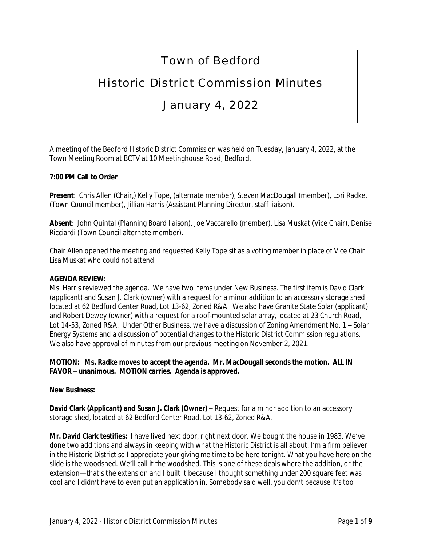# Town of Bedford

## Historic District Commission Minutes

### January 4, 2022

A meeting of the Bedford Historic District Commission was held on Tuesday, January 4, 2022, at the Town Meeting Room at BCTV at 10 Meetinghouse Road, Bedford.

#### **7:00 PM Call to Order**

**Present**: Chris Allen (Chair,) Kelly Tope, (alternate member), Steven MacDougall (member), Lori Radke, (Town Council member), Jillian Harris (Assistant Planning Director, staff liaison).

**Absent**: John Quintal (Planning Board liaison), Joe Vaccarello (member), Lisa Muskat (Vice Chair), Denise Ricciardi (Town Council alternate member).

Chair Allen opened the meeting and requested Kelly Tope sit as a voting member in place of Vice Chair Lisa Muskat who could not attend.

#### **AGENDA REVIEW:**

Ms. Harris reviewed the agenda. We have two items under New Business. The first item is David Clark (applicant) and Susan J. Clark (owner) with a request for a minor addition to an accessory storage shed located at 62 Bedford Center Road, Lot 13-62, Zoned R&A. We also have Granite State Solar (applicant) and Robert Dewey (owner) with a request for a roof-mounted solar array, located at 23 Church Road, Lot 14-53, Zoned R&A. Under Other Business, we have a discussion of Zoning Amendment No. 1 – Solar Energy Systems and a discussion of potential changes to the Historic District Commission regulations. We also have approval of minutes from our previous meeting on November 2, 2021.

**MOTION: Ms. Radke moves to accept the agenda. Mr. MacDougall seconds the motion. ALL IN FAVOR – unanimous. MOTION carries. Agenda is approved.**

#### **New Business:**

**David Clark (Applicant) and Susan J. Clark (Owner) – Request for a minor addition to an accessory** storage shed, located at 62 Bedford Center Road, Lot 13-62, Zoned R&A.

**Mr. David Clark testifies:** I have lived next door, right next door. We bought the house in 1983. We've done two additions and always in keeping with what the Historic District is all about. I'm a firm believer in the Historic District so I appreciate your giving me time to be here tonight. What you have here on the slide is the woodshed. We'll call it the woodshed. This is one of these deals where the addition, or the extension—that's the extension and I built it because I thought something under 200 square feet was cool and I didn't have to even put an application in. Somebody said well, you don't because it's too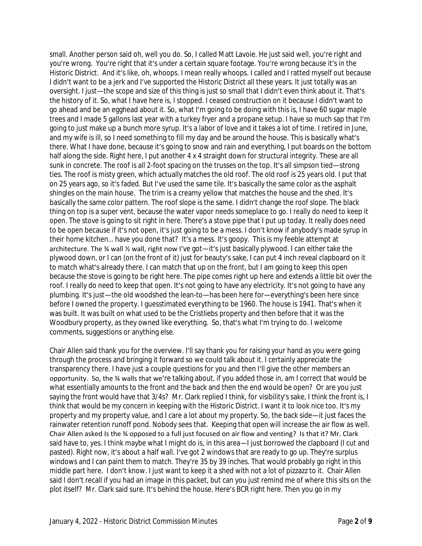small. Another person said oh, well you do. So, I called Matt Lavoie. He just said well, you're right and you're wrong. You're right that it's under a certain square footage. You're wrong because it's in the Historic District. And it's like, oh, whoops. I mean really whoops. I called and I ratted myself out because I didn't want to be a jerk and I've supported the Historic District all these years. It just totally was an oversight. I just—the scope and size of this thing is just so small that I didn't even think about it. That's the history of it. So, what I have here is, I stopped. I ceased construction on it because I didn't want to go ahead and be an egghead about it. So, what I'm going to be doing with this is, I have 60 sugar maple trees and I made 5 gallons last year with a turkey fryer and a propane setup. I have so much sap that I'm going to just make up a bunch more syrup. It's a labor of love and it takes a lot of time. I retired in June, and my wife is ill, so I need something to fill my day and be around the house. This is basically what's there. What I have done, because it's going to snow and rain and everything, I put boards on the bottom half along the side. Right here, I put another 4 x 4 straight down for structural integrity. These are all sunk in concrete. The roof is all 2-foot spacing on the trusses on the top. It's all simpson tied—strong ties. The roof is misty green, which actually matches the old roof. The old roof is 25 years old. I put that on 25 years ago, so it's faded. But I've used the same tile. It's basically the same color as the asphalt shingles on the main house. The trim is a creamy yellow that matches the house and the shed. It's basically the same color pattern. The roof slope is the same. I didn't change the roof slope. The black thing on top is a super vent, because the water vapor needs someplace to go. I really do need to keep it open. The stove is going to sit right in here. There's a stove pipe that I put up today. It really does need to be open because if it's not open, it's just going to be a mess. I don't know if anybody's made syrup in their home kitchen… have you done that? It's a mess. It's goopy. This is my feeble attempt at architecture. The % wall % wall, right now I've got-it's just basically plywood. I can either take the plywood down, or I can (on the front of it) just for beauty's sake, I can put 4 inch reveal clapboard on it to match what's already there. I can match that up on the front, but I am going to keep this open because the stove is going to be right here. The pipe comes right up here and extends a little bit over the roof. I really do need to keep that open. It's not going to have any electricity. It's not going to have any plumbing. It's just—the old woodshed the lean-to—has been here for—everything's been here since before I owned the property. I guesstimated everything to be 1960. The house is 1941. That's when it was built. It was built on what used to be the Cristliebs property and then before that it was the Woodbury property, as they owned like everything. So, that's what I'm trying to do. I welcome comments, suggestions or anything else.

Chair Allen said thank you for the overview. I'll say thank you for raising your hand as you were going through the process and bringing it forward so we could talk about it. I certainly appreciate the transparency there. I have just a couple questions for you and then I'll give the other members an opportunity. So, the ¾ walls that we're talking about, if you added those in, am I correct that would be what essentially amounts to the front and the back and then the end would be open? Or are you just saying the front would have that 3/4s? Mr. Clark replied I think, for visibility's sake, I think the front is, I think that would be my concern in keeping with the Historic District. I want it to look nice too. It's my property and my property value, and I care a lot about my property. So, the back side—it just faces the rainwater retention runoff pond. Nobody sees that. Keeping that open will increase the air flow as well. Chair Allen asked Is the ¾ opposed to a full just focused on air flow and venting? Is that it? Mr. Clark said have to, yes. I think maybe what I might do is, in this area-I just borrowed the clapboard (I cut and pasted). Right now, it's about a half wall. I've got 2 windows that are ready to go up. They're surplus windows and I can paint them to match. They're 35 by 39 inches. That would probably go right in this middle part here. I don't know. I just want to keep it a shed with not a lot of pizzazz to it. Chair Allen said I don't recall if you had an image in this packet, but can you just remind me of where this sits on the plot itself? Mr. Clark said sure. It's behind the house. Here's BCR right here. Then you go in my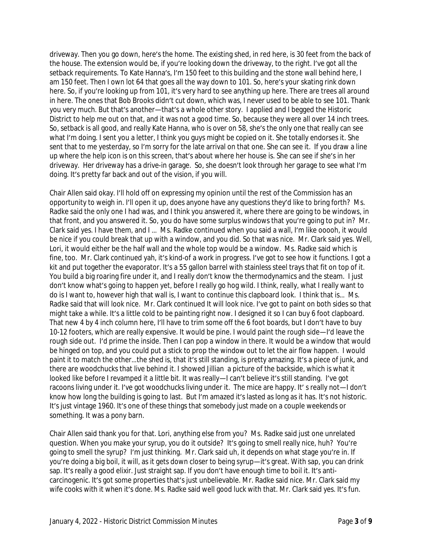driveway. Then you go down, here's the home. The existing shed, in red here, is 30 feet from the back of the house. The extension would be, if you're looking down the driveway, to the right. I've got all the setback requirements. To Kate Hanna's, I'm 150 feet to this building and the stone wall behind here, I am 150 feet. Then I own lot 64 that goes all the way down to 101. So, here's your skating rink down here. So, if you're looking up from 101, it's very hard to see anything up here. There are trees all around in here. The ones that Bob Brooks didn't cut down, which was, I never used to be able to see 101. Thank you very much. But that's another—that's a whole other story. I applied and I begged the Historic District to help me out on that, and it was not a good time. So, because they were all over 14 inch trees. So, setback is all good, and really Kate Hanna, who is over on 58, she's the only one that really can see what I'm doing. I sent you a letter, I think you guys might be copied on it. She totally endorses it. She sent that to me yesterday, so I'm sorry for the late arrival on that one. She can see it. If you draw a line up where the help icon is on this screen, that's about where her house is. She can see if she's in her driveway. Her driveway has a drive-in garage. So, she doesn't look through her garage to see what I'm doing. It's pretty far back and out of the vision, if you will.

Chair Allen said okay. I'll hold off on expressing my opinion until the rest of the Commission has an opportunity to weigh in. I'll open it up, does anyone have any questions they'd like to bring forth? Ms. Radke said the only one I had was, and I think you answered it, where there are going to be windows, in that front, and you answered it. So, you do have some surplus windows that you're going to put in? Mr. Clark said yes. I have them, and I … Ms. Radke continued when you said a wall, I'm like ooooh, it would be nice if you could break that up with a window, and you did. So that was nice. Mr. Clark said yes. Well, Lori, it would either be the half wall and the whole top would be a window. Ms. Radke said which is fine, too. Mr. Clark continued yah, it's kind-of a work in progress. I've got to see how it functions. I got a kit and put together the evaporator. It's a 55 gallon barrel with stainless steel trays that fit on top of it. You build a big roaring fire under it, and I really don't know the thermodynamics and the steam. I just don't know what's going to happen yet, before I really go hog wild. I think, really, what I really want to do is I want to, however high that wall is, I want to continue this clapboard look. I think that is… Ms. Radke said that will look nice. Mr. Clark continued It will look nice. I've got to paint on both sides so that might take a while. It's a little cold to be painting right now. I designed it so I can buy 6 foot clapboard. That new 4 by 4 inch column here, I'll have to trim some off the 6 foot boards, but I don't have to buy 10-12 footers, which are really expensive. It would be pine. I would paint the rough side—I'd leave the rough side out. I'd prime the inside. Then I can pop a window in there. It would be a window that would be hinged on top, and you could put a stick to prop the window out to let the air flow happen. I would paint it to match the other…the shed is, that it's still standing, is pretty amazing. It's a piece of junk, and there are woodchucks that live behind it. I showed Jillian a picture of the backside, which is what it looked like before I revamped it a little bit. It was really—I can't believe it's still standing. I've got racoons living under it. I've got woodchucks living under it. The mice are happy. It' s really not—I don't know how long the building is going to last. But I'm amazed it's lasted as long as it has. It's not historic. It's just vintage 1960. It's one of these things that somebody just made on a couple weekends or something. It was a pony barn.

Chair Allen said thank you for that. Lori, anything else from you? Ms. Radke said just one unrelated question. When you make your syrup, you do it outside? It's going to smell really nice, huh? You're going to smell the syrup? I'm just thinking. Mr. Clark said uh, it depends on what stage you're in. If you're doing a big boil, it will, as it gets down closer to being syrup—it's great. With sap, you can drink sap. It's really a good elixir. Just straight sap. If you don't have enough time to boil it. It's anticarcinogenic. It's got some properties that's just unbelievable. Mr. Radke said nice. Mr. Clark said my wife cooks with it when it's done. Ms. Radke said well good luck with that. Mr. Clark said yes. It's fun.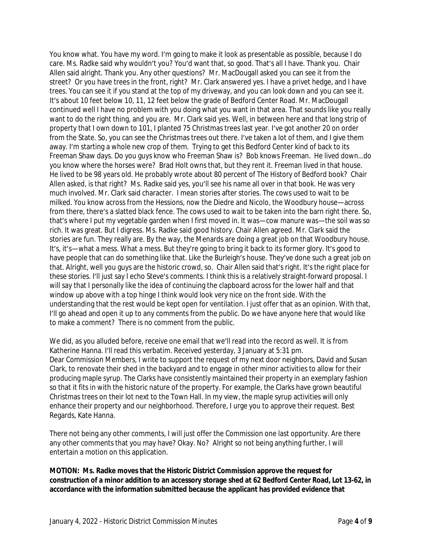You know what. You have my word. I'm going to make it look as presentable as possible, because I do care. Ms. Radke said why wouldn't you? You'd want that, so good. That's all I have. Thank you. Chair Allen said alright. Thank you. Any other questions? Mr. MacDougall asked you can see it from the street? Or you have trees in the front, right? Mr. Clark answered yes. I have a privet hedge, and I have trees. You can see it if you stand at the top of my driveway, and you can look down and you can see it. It's about 10 feet below 10, 11, 12 feet below the grade of Bedford Center Road. Mr. MacDougall continued well I have no problem with you doing what you want in that area. That sounds like you really want to do the right thing, and you are. Mr. Clark said yes. Well, in between here and that long strip of property that I own down to 101, I planted 75 Christmas trees last year. I've got another 20 on order from the State. So, you can see the Christmas trees out there. I've taken a lot of them, and I give them away. I'm starting a whole new crop of them. Trying to get this Bedford Center kind of back to its Freeman Shaw days. Do you guys know who Freeman Shaw is? Bob knows Freeman. He lived down…do you know where the horses were? Brad Holt owns that, but they rent it. Freeman lived in that house. He lived to be 98 years old. He probably wrote about 80 percent of The History of Bedford book? Chair Allen asked, is that right? Ms. Radke said yes, you'll see his name all over in that book. He was very much involved. Mr. Clark said character. I mean stories after stories. The cows used to wait to be milked. You know across from the Hessions, now the Diedre and Nicolo, the Woodbury house—across from there, there's a slatted black fence. The cows used to wait to be taken into the barn right there. So, that's where I put my vegetable garden when I first moved in. It was—cow manure was—the soil was so rich. It was great. But I digress. Ms. Radke said good history. Chair Allen agreed. Mr. Clark said the stories are fun. They really are. By the way, the Menards are doing a great job on that Woodbury house. It's, it's—what a mess. What a mess. But they're going to bring it back to its former glory. It's good to have people that can do something like that. Like the Burleigh's house. They've done such a great job on that. Alright, well you guys are the historic crowd, so. Chair Allen said that's right. It's the right place for these stories. I'll just say I echo Steve's comments. I think this is a relatively straight-forward proposal. I will say that I personally like the idea of continuing the clapboard across for the lower half and that window up above with a top hinge I think would look very nice on the front side. With the understanding that the rest would be kept open for ventilation. I just offer that as an opinion. With that, I'll go ahead and open it up to any comments from the public. Do we have anyone here that would like to make a comment? There is no comment from the public.

We did, as you alluded before, receive one email that we'll read into the record as well. It is from Katherine Hanna. I'll read this verbatim. Received yesterday, 3 January at 5:31 pm. Dear Commission Members, I write to support the request of my next door neighbors, David and Susan Clark, to renovate their shed in the backyard and to engage in other minor activities to allow for their producing maple syrup. The Clarks have consistently maintained their property in an exemplary fashion so that it fits in with the historic nature of the property. For example, the Clarks have grown beautiful Christmas trees on their lot next to the Town Hall. In my view, the maple syrup activities will only enhance their property and our neighborhood. Therefore, I urge you to approve their request. Best Regards, Kate Hanna.

There not being any other comments, I will just offer the Commission one last opportunity. Are there any other comments that you may have? Okay. No? Alright so not being anything further, I will entertain a motion on this application.

**MOTION: Ms. Radke moves that the Historic District Commission approve the request for construction of a minor addition to an accessory storage shed at 62 Bedford Center Road, Lot 13-62, in accordance with the information submitted because the applicant has provided evidence that**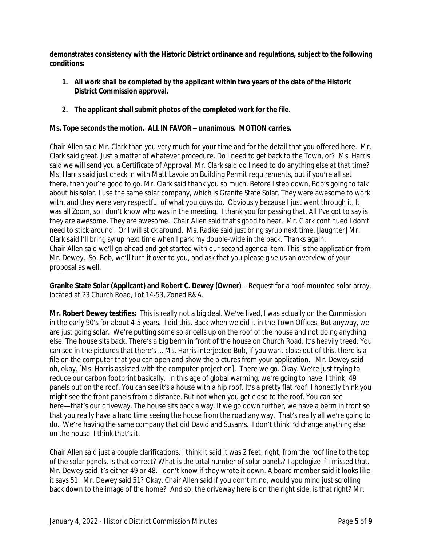**demonstrates consistency with the Historic District ordinance and regulations, subject to the following conditions:** 

- **1. All work shall be completed by the applicant within two years of the date of the Historic District Commission approval.**
- **2. The applicant shall submit photos of the completed work for the file.**

#### **Ms. Tope seconds the motion. ALL IN FAVOR – unanimous. MOTION carries.**

Chair Allen said Mr. Clark than you very much for your time and for the detail that you offered here. Mr. Clark said great. Just a matter of whatever procedure. Do I need to get back to the Town, or? Ms. Harris said we will send you a Certificate of Approval. Mr. Clark said do I need to do anything else at that time? Ms. Harris said just check in with Matt Lavoie on Building Permit requirements, but if you're all set there, then you're good to go. Mr. Clark said thank you so much. Before I step down, Bob's going to talk about his solar. I use the same solar company, which is Granite State Solar. They were awesome to work with, and they were very respectful of what you guys do. Obviously because I just went through it. It was all Zoom, so I don't know who was in the meeting. I thank you for passing that. All I've got to say is they are awesome. They are awesome. Chair Allen said that's good to hear. Mr. Clark continued I don't need to stick around. Or I will stick around. Ms. Radke said just bring syrup next time. [laughter] Mr. Clark said I'll bring syrup next time when I park my double-wide in the back. Thanks again. Chair Allen said we'll go ahead and get started with our second agenda item. This is the application from Mr. Dewey. So, Bob, we'll turn it over to you, and ask that you please give us an overview of your proposal as well.

**Granite State Solar (Applicant) and Robert C. Dewey (Owner)** – Request for a roof-mounted solar array, located at 23 Church Road, Lot 14-53, Zoned R&A.

**Mr. Robert Dewey testifies:** This is really not a big deal. We've lived, I was actually on the Commission in the early 90's for about 4-5 years. I did this. Back when we did it in the Town Offices. But anyway, we are just going solar. We're putting some solar cells up on the roof of the house and not doing anything else. The house sits back. There's a big berm in front of the house on Church Road. It's heavily treed. You can see in the pictures that there's … Ms. Harris interjected Bob, if you want close out of this, there is a file on the computer that you can open and show the pictures from your application. Mr. Dewey said oh, okay. [Ms. Harris assisted with the computer projection]. There we go. Okay. We're just trying to reduce our carbon footprint basically. In this age of global warming, we're going to have, I think, 49 panels put on the roof. You can see it's a house with a hip roof. It's a pretty flat roof. I honestly think you might see the front panels from a distance. But not when you get close to the roof. You can see here—that's our driveway. The house sits back a way. If we go down further, we have a berm in front so that you really have a hard time seeing the house from the road any way. That's really all we're going to do. We're having the same company that did David and Susan's. I don't think I'd change anything else on the house. I think that's it.

Chair Allen said just a couple clarifications. I think it said it was 2 feet, right, from the roof line to the top of the solar panels. Is that correct? What is the total number of solar panels? I apologize if I missed that. Mr. Dewey said it's either 49 or 48. I don't know if they wrote it down. A board member said it looks like it says 51. Mr. Dewey said 51? Okay. Chair Allen said if you don't mind, would you mind just scrolling back down to the image of the home? And so, the driveway here is on the right side, is that right? Mr.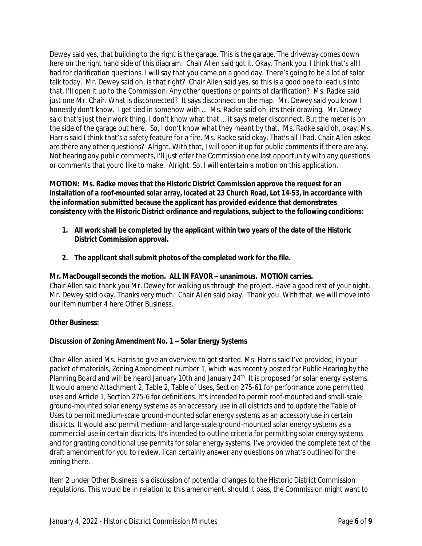Dewey said yes, that building to the right is the garage. This is the garage. The driveway comes down here on the right hand side of this diagram. Chair Allen said got it. Okay. Thank you. I think that's all I had for clarification questions. I will say that you came on a good day. There's going to be a lot of solar talk today. Mr. Dewey said oh, is that right? Chair Allen said yes, so this is a good one to lead us into that. I'll open it up to the Commission. Any other questions or points of clarification? Ms. Radke said just one Mr. Chair. What is disconnected? It says disconnect on the map. Mr. Dewey said you know I honestly don't know. I get tied in somehow with … Ms. Radke said oh, it's their drawing. Mr. Dewey said that's just their work thing. I don't know what that … it says meter disconnect. But the meter is on the side of the garage out here. So, I don't know what they meant by that. Ms. Radke said oh, okay. Ms. Harris said I think that's a safety feature for a fire. Ms. Radke said okay. That's all I had. Chair Allen asked are there any other questions? Alright. With that, I will open it up for public comments if there are any. Not hearing any public comments, I'll just offer the Commission one last opportunity with any questions or comments that you'd like to make. Alright. So, I will entertain a motion on this application.

**MOTION: Ms. Radke moves that the Historic District Commission approve the request for an installation of a roof-mounted solar array, located at 23 Church Road, Lot 14-53, in accordance with the information submitted because the applicant has provided evidence that demonstrates consistency with the Historic District ordinance and regulations, subject to the following conditions:**

- **1. All work shall be completed by the applicant within two years of the date of the Historic District Commission approval.**
- **2. The applicant shall submit photos of the completed work for the file.**

#### **Mr. MacDougall seconds the motion. ALL IN FAVOR – unanimous. MOTION carries.**

Chair Allen said thank you Mr. Dewey for walking us through the project. Have a good rest of your night. Mr. Dewey said okay. Thanks very much. Chair Allen said okay. Thank you. With that, we will move into our item number 4 here Other Business.

#### **Other Business:**

#### **Discussion of Zoning Amendment No. 1 – Solar Energy Systems**

Chair Allen asked Ms. Harris to give an overview to get started. Ms. Harris said I've provided, in your packet of materials, Zoning Amendment number 1, which was recently posted for Public Hearing by the Planning Board and will be heard January 10th and January 24<sup>th</sup>. It is proposed for solar energy systems. It would amend Attachment 2, Table 2, Table of Uses, Section 275-61 for performance zone permitted uses and Article 1, Section 275-6 for definitions. It's intended to permit roof-mounted and small-scale ground-mounted solar energy systems as an accessory use in all districts and to update the Table of Uses to permit medium-scale ground-mounted solar energy systems as an accessory use in certain districts. It would also permit medium- and large-scale ground-mounted solar energy systems as a commercial use in certain districts. It's intended to outline criteria for permitting solar energy systems and for granting conditional use permits for solar energy systems. I've provided the complete text of the draft amendment for you to review. I can certainly answer any questions on what's outlined for the zoning there.

Item 2 under Other Business is a discussion of potential changes to the Historic District Commission regulations. This would be in relation to this amendment, should it pass, the Commission might want to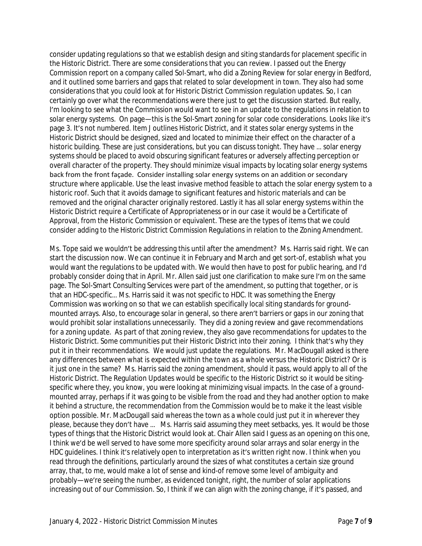consider updating regulations so that we establish design and siting standards for placement specific in the Historic District. There are some considerations that you can review. I passed out the Energy Commission report on a company called Sol-Smart, who did a Zoning Review for solar energy in Bedford, and it outlined some barriers and gaps that related to solar development in town. They also had some considerations that you could look at for Historic District Commission regulation updates. So, I can certainly go over what the recommendations were there just to get the discussion started. But really, I'm looking to see what the Commission would want to see in an update to the regulations in relation to solar energy systems. On page—this is the Sol-Smart zoning for solar code considerations. Looks like it's page 3. It's not numbered. Item J outlines Historic District, and it states solar energy systems in the Historic District should be designed, sized and located to minimize their effect on the character of a historic building. These are just considerations, but you can discuss tonight. They have … solar energy systems should be placed to avoid obscuring significant features or adversely affecting perception or overall character of the property. They should minimize visual impacts by locating solar energy systems back from the front façade. Consider installing solar energy systems on an addition or secondary structure where applicable. Use the least invasive method feasible to attach the solar energy system to a historic roof. Such that it avoids damage to significant features and historic materials and can be removed and the original character originally restored. Lastly it has all solar energy systems within the Historic District require a Certificate of Appropriateness or in our case it would be a Certificate of Approval, from the Historic Commission or equivalent. These are the types of items that we could consider adding to the Historic District Commission Regulations in relation to the Zoning Amendment.

Ms. Tope said we wouldn't be addressing this until after the amendment? Ms. Harris said right. We can start the discussion now. We can continue it in February and March and get sort-of, establish what you would want the regulations to be updated with. We would then have to post for public hearing, and I'd probably consider doing that in April. Mr. Allen said just one clarification to make sure I'm on the same page. The Sol-Smart Consulting Services were part of the amendment, so putting that together, or is that an HDC-specific… Ms. Harris said it was not specific to HDC. It was something the Energy Commission was working on so that we can establish specifically local siting standards for groundmounted arrays. Also, to encourage solar in general, so there aren't barriers or gaps in our zoning that would prohibit solar installations unnecessarily. They did a zoning review and gave recommendations for a zoning update. As part of that zoning review, they also gave recommendations for updates to the Historic District. Some communities put their Historic District into their zoning. I think that's why they put it in their recommendations. We would just update the regulations. Mr. MacDougall asked is there any differences between what is expected within the town as a whole versus the Historic District? Or is it just one in the same? Ms. Harris said the zoning amendment, should it pass, would apply to all of the Historic District. The Regulation Updates would be specific to the Historic District so it would be sitingspecific where they, you know, you were looking at minimizing visual impacts. In the case of a groundmounted array, perhaps if it was going to be visible from the road and they had another option to make it behind a structure, the recommendation from the Commission would be to make it the least visible option possible. Mr. MacDougall said whereas the town as a whole could just put it in wherever they please, because they don't have … Ms. Harris said assuming they meet setbacks, yes. It would be those types of things that the Historic District would look at. Chair Allen said I guess as an opening on this one, I think we'd be well served to have some more specificity around solar arrays and solar energy in the HDC guidelines. I think it's relatively open to interpretation as it's written right now. I think when you read through the definitions, particularly around the sizes of what constitutes a certain size ground array, that, to me, would make a lot of sense and kind-of remove some level of ambiguity and probably—we're seeing the number, as evidenced tonight, right, the number of solar applications increasing out of our Commission. So, I think if we can align with the zoning change, if it's passed, and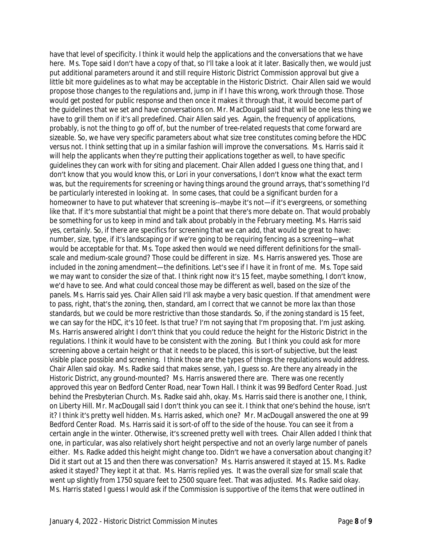have that level of specificity. I think it would help the applications and the conversations that we have here. Ms. Tope said I don't have a copy of that, so I'll take a look at it later. Basically then, we would just put additional parameters around it and still require Historic District Commission approval but give a little bit more guidelines as to what may be acceptable in the Historic District. Chair Allen said we would propose those changes to the regulations and, jump in if I have this wrong, work through those. Those would get posted for public response and then once it makes it through that, it would become part of the guidelines that we set and have conversations on. Mr. MacDougall said that will be one less thing we have to grill them on if it's all predefined. Chair Allen said yes. Again, the frequency of applications, probably, is not the thing to go off of, but the number of tree-related requests that come forward are sizeable. So, we have very specific parameters about what size tree constitutes coming before the HDC versus not. I think setting that up in a similar fashion will improve the conversations. Ms. Harris said it will help the applicants when they're putting their applications together as well, to have specific guidelines they can work with for siting and placement. Chair Allen added I guess one thing that, and I don't know that you would know this, or Lori in your conversations, I don't know what the exact term was, but the requirements for screening or having things around the ground arrays, that's something I'd be particularly interested in looking at. In some cases, that could be a significant burden for a homeowner to have to put whatever that screening is--maybe it's not—if it's evergreens, or something like that. If it's more substantial that might be a point that there's more debate on. That would probably be something for us to keep in mind and talk about probably in the February meeting. Ms. Harris said yes, certainly. So, if there are specifics for screening that we can add, that would be great to have: number, size, type, if it's landscaping or if we're going to be requiring fencing as a screening—what would be acceptable for that. Ms. Tope asked then would we need different definitions for the smallscale and medium-scale ground? Those could be different in size. Ms. Harris answered yes. Those are included in the zoning amendment—the definitions. Let's see if I have it in front of me. Ms. Tope said we may want to consider the size of that. I think right now it's 15 feet, maybe something, I don't know, we'd have to see. And what could conceal those may be different as well, based on the size of the panels. Ms. Harris said yes. Chair Allen said I'll ask maybe a very basic question. If that amendment were to pass, right, that's the zoning, then, standard, am I correct that we cannot be more lax than those standards, but we could be more restrictive than those standards. So, if the zoning standard is 15 feet, we can say for the HDC, it's 10 feet. Is that true? I'm not saying that I'm proposing that. I'm just asking. Ms. Harris answered alright I don't think that you could reduce the height for the Historic District in the regulations. I think it would have to be consistent with the zoning. But I think you could ask for more screening above a certain height or that it needs to be placed, this is sort-of subjective, but the least visible place possible and screening. I think those are the types of things the regulations would address. Chair Allen said okay. Ms. Radke said that makes sense, yah, I guess so. Are there any already in the Historic District, any ground-mounted? Ms. Harris answered there are. There was one recently approved this year on Bedford Center Road, near Town Hall. I think it was 99 Bedford Center Road. Just behind the Presbyterian Church. Ms. Radke said ahh, okay. Ms. Harris said there is another one, I think, on Liberty Hill. Mr. MacDougall said I don't think you can see it. I think that one's behind the house, isn't it? I think it's pretty well hidden. Ms. Harris asked, which one? Mr. MacDougall answered the one at 99 Bedford Center Road. Ms. Harris said it is sort-of off to the side of the house. You can see it from a certain angle in the winter. Otherwise, it's screened pretty well with trees. Chair Allen added I think that one, in particular, was also relatively short height perspective and not an overly large number of panels either. Ms. Radke added this height might change too. Didn't we have a conversation about changing it? Did it start out at 15 and then there was conversation? Ms. Harris answered it stayed at 15. Ms. Radke asked it stayed? They kept it at that. Ms. Harris replied yes. It was the overall size for small scale that went up slightly from 1750 square feet to 2500 square feet. That was adjusted. Ms. Radke said okay. Ms. Harris stated I guess I would ask if the Commission is supportive of the items that were outlined in